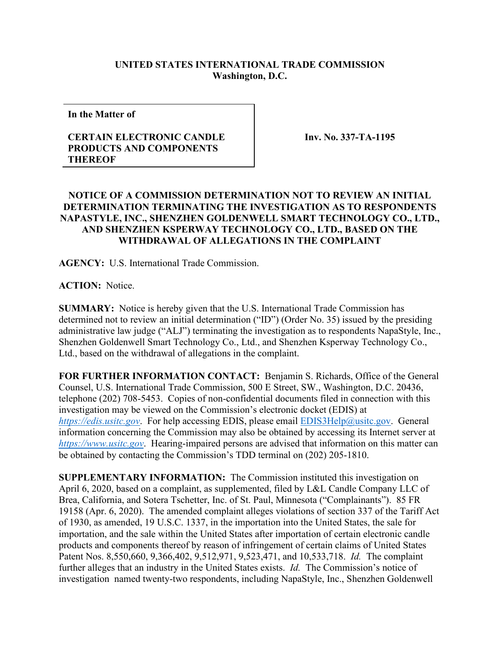## **UNITED STATES INTERNATIONAL TRADE COMMISSION Washington, D.C.**

**In the Matter of**

## **CERTAIN ELECTRONIC CANDLE PRODUCTS AND COMPONENTS THEREOF**

**Inv. No. 337-TA-1195**

## **NOTICE OF A COMMISSION DETERMINATION NOT TO REVIEW AN INITIAL DETERMINATION TERMINATING THE INVESTIGATION AS TO RESPONDENTS NAPASTYLE, INC., SHENZHEN GOLDENWELL SMART TECHNOLOGY CO., LTD., AND SHENZHEN KSPERWAY TECHNOLOGY CO., LTD., BASED ON THE WITHDRAWAL OF ALLEGATIONS IN THE COMPLAINT**

**AGENCY:** U.S. International Trade Commission.

**ACTION:** Notice.

**SUMMARY:** Notice is hereby given that the U.S. International Trade Commission has determined not to review an initial determination ("ID") (Order No. 35) issued by the presiding administrative law judge ("ALJ") terminating the investigation as to respondents NapaStyle, Inc., Shenzhen Goldenwell Smart Technology Co., Ltd., and Shenzhen Ksperway Technology Co., Ltd., based on the withdrawal of allegations in the complaint.

**FOR FURTHER INFORMATION CONTACT:** Benjamin S. Richards, Office of the General Counsel, U.S. International Trade Commission, 500 E Street, SW., Washington, D.C. 20436, telephone (202) 708-5453. Copies of non-confidential documents filed in connection with this investigation may be viewed on the Commission's electronic docket (EDIS) at *[https://edis.usitc.gov](https://edis.usitc.gov/)*. For help accessing EDIS, please email [EDIS3Help@usitc.gov.](mailto:EDIS3Help@usitc.gov) General information concerning the Commission may also be obtained by accessing its Internet server at *[https://www.usitc.gov](https://www.usitc.gov/)*. Hearing-impaired persons are advised that information on this matter can be obtained by contacting the Commission's TDD terminal on (202) 205-1810.

**SUPPLEMENTARY INFORMATION:** The Commission instituted this investigation on April 6, 2020, based on a complaint, as supplemented, filed by L&L Candle Company LLC of Brea, California, and Sotera Tschetter, Inc. of St. Paul, Minnesota ("Complainants"). 85 FR 19158 (Apr. 6, 2020). The amended complaint alleges violations of section 337 of the Tariff Act of 1930, as amended, 19 U.S.C. 1337, in the importation into the United States, the sale for importation, and the sale within the United States after importation of certain electronic candle products and components thereof by reason of infringement of certain claims of United States Patent Nos. 8,550,660, 9,366,402, 9,512,971, 9,523,471, and 10,533,718. *Id.* The complaint further alleges that an industry in the United States exists. *Id.* The Commission's notice of investigation named twenty-two respondents, including NapaStyle, Inc., Shenzhen Goldenwell